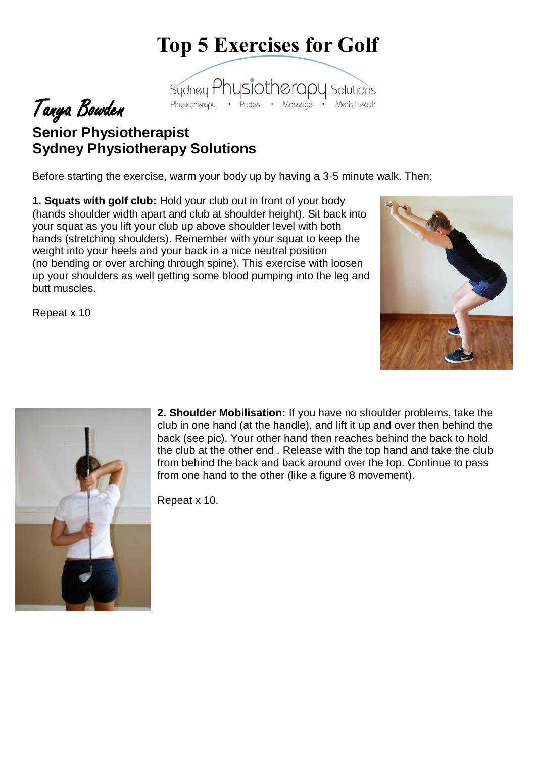## **Top 5 Exercises for Golf**



## Tanya Bowden **Senior Physiotherapist Sydney Physiotherapy Solutions**

Before starting the exercise, warm your body up by having a 3-5 minute walk. Then:

**1. Squats with golf club:** Hold your club out in front of your body (hands shoulder width apart and club at shoulder height). Sit back into your squat as you lift your club up above shoulder level with both hands (stretching shoulders). Remember with your squat to keep the weight into your heels and your back in a nice neutral position (no bending or over arching through spine). This exercise with loosen up your shoulders as well getting some blood pumping into the leg and butt muscles.



Repeat x 10



**2. Shoulder Mobilisation:** If you have no shoulder problems, take the club in one hand (at the handle), and lift it up and over then behind the back (see pic). Your other hand then reaches behind the back to hold the club at the other end . Release with the top hand and take the club from behind the back and back around over the top. Continue to pass from one hand to the other (like a figure 8 movement).

Repeat x 10.